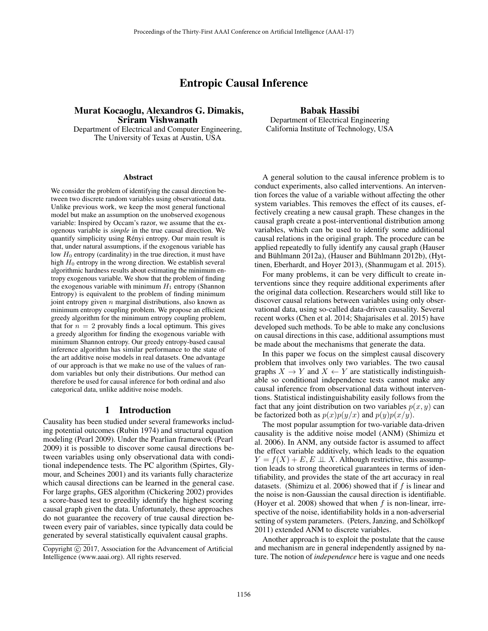# Entropic Causal Inference

# Murat Kocaoglu, Alexandros G. Dimakis, Sriram Vishwanath

Department of Electrical and Computer Engineering, The University of Texas at Austin, USA

#### Abstract

We consider the problem of identifying the causal direction between two discrete random variables using observational data. Unlike previous work, we keep the most general functional model but make an assumption on the unobserved exogenous variable: Inspired by Occam's razor, we assume that the exogenous variable is *simple* in the true causal direction. We quantify simplicity using Rényi entropy. Our main result is that, under natural assumptions, if the exogenous variable has low  $H_0$  entropy (cardinality) in the true direction, it must have high  $H_0$  entropy in the wrong direction. We establish several algorithmic hardness results about estimating the minimum entropy exogenous variable. We show that the problem of finding the exogenous variable with minimum  $H_1$  entropy (Shannon Entropy) is equivalent to the problem of finding minimum joint entropy given  $n$  marginal distributions, also known as minimum entropy coupling problem. We propose an efficient greedy algorithm for the minimum entropy coupling problem, that for  $n = 2$  provably finds a local optimum. This gives a greedy algorithm for finding the exogenous variable with minimum Shannon entropy. Our greedy entropy-based causal inference algorithm has similar performance to the state of the art additive noise models in real datasets. One advantage of our approach is that we make no use of the values of random variables but only their distributions. Our method can therefore be used for causal inference for both ordinal and also categorical data, unlike additive noise models.

#### 1 Introduction

Causality has been studied under several frameworks including potential outcomes (Rubin 1974) and structural equation modeling (Pearl 2009). Under the Pearlian framework (Pearl 2009) it is possible to discover some causal directions between variables using only observational data with conditional independence tests. The PC algorithm (Spirtes, Glymour, and Scheines 2001) and its variants fully characterize which causal directions can be learned in the general case. For large graphs, GES algorithm (Chickering 2002) provides a score-based test to greedily identify the highest scoring causal graph given the data. Unfortunately, these approaches do not guarantee the recovery of true causal direction between every pair of variables, since typically data could be generated by several statistically equivalent causal graphs.

# Babak Hassibi

Department of Electrical Engineering California Institute of Technology, USA

A general solution to the causal inference problem is to conduct experiments, also called interventions. An intervention forces the value of a variable without affecting the other system variables. This removes the effect of its causes, effectively creating a new causal graph. These changes in the causal graph create a post-interventional distribution among variables, which can be used to identify some additional causal relations in the original graph. The procedure can be applied repeatedly to fully identify any causal graph (Hauser and Bühlmann 2012a), (Hauser and Bühlmann 2012b), (Hyttinen, Eberhardt, and Hoyer 2013), (Shanmugam et al. 2015).

For many problems, it can be very difficult to create interventions since they require additional experiments after the original data collection. Researchers would still like to discover causal relations between variables using only observational data, using so-called data-driven causality. Several recent works (Chen et al. 2014; Shajarisales et al. 2015) have developed such methods. To be able to make any conclusions on causal directions in this case, additional assumptions must be made about the mechanisms that generate the data.

In this paper we focus on the simplest causal discovery problem that involves only two variables. The two causal graphs  $X \to Y$  and  $X \leftarrow Y$  are statistically indistinguishable so conditional independence tests cannot make any causal inference from observational data without interventions. Statistical indistinguishability easily follows from the fact that any joint distribution on two variables  $p(x, y)$  can be factorized both as  $p(x)p(y/x)$  and  $p(y)p(x/y)$ .

The most popular assumption for two-variable data-driven causality is the additive noise model (ANM) (Shimizu et al. 2006). In ANM, any outside factor is assumed to affect the effect variable additively, which leads to the equation  $Y = f(X) + E, E \perp X$ . Although restrictive, this assumption leads to strong theoretical guarantees in terms of identifiability, and provides the state of the art accuracy in real datasets. (Shimizu et al. 2006) showed that if  $f$  is linear and the noise is non-Gaussian the causal direction is identifiable. (Hoyer et al. 2008) showed that when  $f$  is non-linear, irrespective of the noise, identifiability holds in a non-adverserial setting of system parameters. (Peters, Janzing, and Schölkopf 2011) extended ANM to discrete variables.

Another approach is to exploit the postulate that the cause and mechanism are in general independently assigned by nature. The notion of *independence* here is vague and one needs

Copyright  $\odot$  2017, Association for the Advancement of Artificial Intelligence (www.aaai.org). All rights reserved.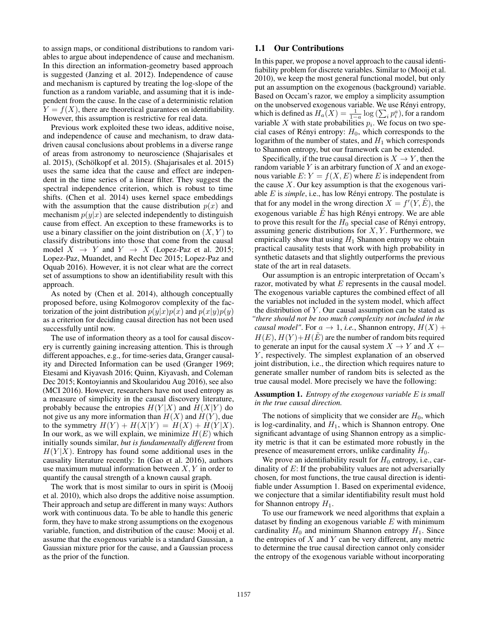to assign maps, or conditional distributions to random variables to argue about independence of cause and mechanism. In this direction an information-geometry based approach is suggested (Janzing et al. 2012). Independence of cause and mechanism is captured by treating the log-slope of the function as a random variable, and assuming that it is independent from the cause. In the case of a deterministic relation  $Y = f(X)$ , there are theoretical guarantees on identifiability. However, this assumption is restrictive for real data.

Previous work exploited these two ideas, additive noise, and independence of cause and mechanism, to draw datadriven causal conclusions about problems in a diverse range of areas from astronomy to neuroscience (Shajarisales et al. 2015), (Schölkopf et al. 2015). (Shajarisales et al. 2015) uses the same idea that the cause and effect are independent in the time series of a linear filter. They suggest the spectral independence criterion, which is robust to time shifts. (Chen et al. 2014) uses kernel space embeddings with the assumption that the cause distribution  $p(x)$  and mechanism  $p(y|x)$  are selected independently to distinguish cause from effect. An exception to these frameworks is to use a binary classifier on the joint distribution on  $(X, Y)$  to classify distributions into those that come from the causal model  $X \rightarrow Y$  and  $Y \rightarrow X$  (Lopez-Paz et al. 2015; Lopez-Paz, Muandet, and Recht Dec 2015; Lopez-Paz and Oquab 2016). However, it is not clear what are the correct set of assumptions to show an identifiability result with this approach.

As noted by (Chen et al. 2014), although conceptually proposed before, using Kolmogorov complexity of the factorization of the joint distribution  $p(y|x)p(x)$  and  $p(x|y)p(y)$ as a criterion for deciding causal direction has not been used successfully until now.

The use of information theory as a tool for causal discovery is currently gaining increasing attention. This is through different appoaches, e.g., for time-series data, Granger causality and Directed Information can be used (Granger 1969; Etesami and Kiyavash 2016; Quinn, Kiyavash, and Coleman Dec 2015; Kontoyiannis and Skoularidou Aug 2016), see also (MCI 2016). However, researchers have not used entropy as a measure of simplicity in the causal discovery literature, probably because the entropies  $H(Y|X)$  and  $H(X|Y)$  do not give us any more information than  $H(X)$  and  $H(Y)$ , due to the symmetry  $H(Y) + H(X|Y) = H(X) + H(Y|X)$ . In our work, as we will explain, we minimize  $H(E)$  which initially sounds similar, *but is fundamentally different* from  $H(Y|X)$ . Entropy has found some additional uses in the causality literature recently: In (Gao et al. 2016), authors use maximum mutual information between  $X, Y$  in order to quantify the causal strength of a known causal graph.

The work that is most similar to ours in spirit is (Mooij et al. 2010), which also drops the additive noise assumption. Their approach and setup are different in many ways: Authors work with continuous data. To be able to handle this generic form, they have to make strong assumptions on the exogenous variable, function, and distribution of the cause: Mooij et al. assume that the exogenous variable is a standard Gaussian, a Gaussian mixture prior for the cause, and a Gaussian process as the prior of the function.

# 1.1 Our Contributions

In this paper, we propose a novel approach to the causal identifiability problem for discrete variables. Similar to (Mooij et al. 2010), we keep the most general functional model, but only put an assumption on the exogenous (background) variable. Based on Occam's razor, we employ a simplicity assumption on the unobserved exogenous variable. We use Rényi entropy, which is defined as  $H_a(X) = \frac{1}{1-a} \log \left( \sum_i p_i^a \right)$ , for a random<br>variable X with state probabilities n. We focus on two spevariable X with state probabilities  $p_i$ . We focus on two special cases of Rényi entropy:  $H_0$ , which corresponds to the logarithm of the number of states, and  $H_1$  which corresponds to Shannon entropy, but our framework can be extended.

Specifically, if the true causal direction is  $X \to Y$ , then the random variable  $Y$  is an arbitrary function of  $X$  and an exogenous variable  $E: Y = f(X, E)$  where E is independent from the cause  $X$ . Our key assumption is that the exogenous variable E is *simple*, i.e., has low Rényi entropy. The postulate is that for any model in the wrong direction  $X = f'(Y, E)$ , the<br>exercise variable  $\tilde{F}$  has high Pényi entropy. We are able exogenous variable  $\tilde{E}$  has high Rényi entropy. We are able to prove this result for the  $H_0$  special case of Rényi entropy, assuming generic distributions for  $X, Y$ . Furthermore, we empirically show that using  $H_1$  Shannon entropy we obtain practical causality tests that work with high probability in synthetic datasets and that slightly outperforms the previous state of the art in real datasets.

Our assumption is an entropic interpretation of Occam's razor, motivated by what  $E$  represents in the causal model. The exogenous variable captures the combined effect of all the variables not included in the system model, which affect the distribution of  $Y$ . Our causal assumption can be stated as *"there should not be too much complexity not included in the causal model"*. For  $a \to 1$ , *i.e.*, Shannon entropy,  $H(X)$  +  $H(E)$ ,  $H(Y) + H(\tilde{E})$  are the number of random bits required to generate an input for the causal system  $X \to Y$  and  $X \leftarrow$ Y, respectively. The simplest explanation of an observed joint distribution, i.e., the direction which requires nature to generate smaller number of random bits is selected as the true causal model. More precisely we have the following:

#### Assumption 1. *Entropy of the exogenous variable* <sup>E</sup> *is small in the true causal direction.*

The notions of simplicity that we consider are  $H_0$ , which is log-cardinality, and  $H_1$ , which is Shannon entropy. One significant advantage of using Shannon entropy as a simplicity metric is that it can be estimated more robustly in the presence of measurement errors, unlike cardinality  $H_0$ .

We prove an identifiability result for  $H_0$  entropy, i.e., cardinality of  $E$ : If the probability values are not adversarially chosen, for most functions, the true causal direction is identifiable under Assumption 1. Based on experimental evidence, we conjecture that a similar identifiability result must hold for Shannon entropy  $H_1$ .

To use our framework we need algorithms that explain a dataset by finding an exogenous variable  $E$  with minimum cardinality  $H_0$  and minimum Shannon entropy  $H_1$ . Since the entropies of  $X$  and  $Y$  can be very different, any metric to determine the true causal direction cannot only consider the entropy of the exogenous variable without incorporating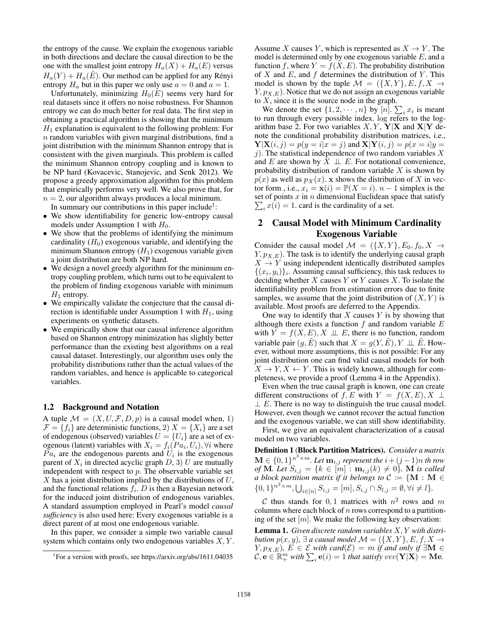the entropy of the cause. We explain the exogenous variable in both directions and declare the causal direction to be the one with the smallest joint entropy  $H_a(X) + H_a(E)$  versus  $H_a(Y) + H_a(E)$ . Our method can be applied for any Rényi entropy  $H_a$  but in this paper we only use  $a = 0$  and  $a = 1$ .

Unfortunately, minimizing  $H_0(E)$  seems very hard for real datasets since it offers no noise robustness. For Shannon entropy we can do much better for real data. The first step in obtaining a practical algorithm is showing that the minimum  $H_1$  explanation is equivalent to the following problem: For  $n$  random variables with given marginal distributions, find a joint distribution with the minimum Shannon entropy that is consistent with the given marginals. This problem is called the minimum Shannon entropy coupling and is known to be NP hard (Kovacevic, Stanojevic, and Senk 2012). We propose a greedy approximation algorithm for this problem that empirically performs very well. We also prove that, for  $n = 2$ , our algorithm always produces a local minimum.

In summary our contributions in this paper include<sup>1</sup>:

- We show identifiability for generic low-entropy causal models under Assumption 1 with  $H_0$ .
- We show that the problems of identifying the minimum cardinality  $(H_0)$  exogenous variable, and identifying the minimum Shannon entropy  $(H_1)$  exogenous variable given a joint distribution are both NP hard.
- We design a novel greedy algorithm for the minimum entropy coupling problem, which turns out to be equivalent to the problem of finding exogenous variable with minimum  $H_1$  entropy.
- We empirically validate the conjecture that the causal direction is identifiable under Assumption 1 with  $H_1$ , using experiments on synthetic datasets.
- We empirically show that our causal inference algorithm based on Shannon entropy minimization has slightly better performance than the existing best algorithms on a real causal dataset. Interestingly, our algorithm uses only the probability distributions rather than the actual values of the random variables, and hence is applicable to categorical variables.

#### 1.2 Background and Notation

A tuple  $\mathcal{M} = (X, U, \mathcal{F}, D, p)$  is a causal model when, 1)  $\mathcal{F} = \{f_i\}$  are deterministic functions, 2)  $X = \{X_i\}$  are a set of endogenous (observed) variables  $U = \{U_i\}$  are a set of exogenous (latent) variables with  $X_i = f_i(Pa_i, U_i)$ ,  $\forall i$  where  $Pa<sub>i</sub>$  are the endogenous parents and  $U<sub>i</sub>$  is the exogenous parent of  $X_i$  in directed acyclic graph  $D$ , 3) U are mutually independent with respect to  $p$ . The observable variable set  $X$  has a joint distribution implied by the distributions of  $U$ , and the functional relations  $f_i$ . D is then a Bayesian network for the induced joint distribution of endogenous variables. A standard assumption employed in Pearl's model *causal sufficiency* is also used here: Every exogenous variable is a direct parent of at most one endogenous variable.

In this paper, we consider a simple two variable causal system which contains only two endogenous variables  $X, Y$ . Assume X causes Y, which is represented as  $X \to Y$ . The model is determined only by one exogenous variable  $E$ , and a function f, where  $Y = f(X, E)$ . The probability distribution of  $X$  and  $E$ , and  $f$  determines the distribution of  $Y$ . This model is shown by the tuple  $\mathcal{M} = (\{X, Y\}, E, f, X \rightarrow$  $Y, p_{X,E}$ ). Notice that we do not assign an exogenous variable to  $X$ , since it is the source node in the graph.

We denote the set  $\{1, 2, \dots, n\}$  by  $[n]$ .  $\sum_i x_i$  is meant<br>run through every possible index log refers to the logto run through every possible index. log refers to the logarithm base 2. For two variables  $X, Y, Y|X$  and  $X|Y$  denote the conditional probability distribution matrices, i.e.,  $\mathbf{Y}|\mathbf{X}(i,j) = p(y=i|x=j)$  and  $\mathbf{X}|\mathbf{Y}(i,j) = p(x=i|y=i)$ j). The statistical independence of two random variables  $X$ and E are shown by  $X \perp\!\!\!\perp E$ . For notational convenience, probability distribution of random variable  $X$  is shown by  $p(x)$  as well as  $p_X(x)$ . **x** shows the distribution of X in vector form , i.e.,  $x_i = \mathbf{x}(i) = \mathbb{P}(X = i)$ .  $n - 1$  simplex is the set of points x in n dimensional Euclidean space that satisfy  $\sum_i x(i) = 1$  card is the cardinality of a set  $\sum_i x(i) = 1$ . card is the cardinality of a set.

# 2 Causal Model with Minimum Cardinality Exogenous Variable

Consider the causal model  $\mathcal{M} = (\{X, Y\}, E_0, f_0, X \rightarrow$  $Y, p_{X,E}$ ). The task is to identify the underlying causal graph  $X \rightarrow Y$  using independent identically distributed samples  $\{(x_i, y_i)\}\$ i. Assuming causal sufficiency, this task reduces to deciding whether  $X$  causes  $Y$  or  $Y$  causes  $X$ . To isolate the identifiability problem from estimation errors due to finite samples, we assume that the joint distribution of  $(X, Y)$  is available. Most proofs are deferred to the Appendix.

One way to identify that  $X$  causes  $Y$  is by showing that although there exists a function  $f$  and random variable  $E$ with  $Y = f(X, E), X \perp\!\!\!\perp E$ , there is no function, random variable pair  $(q, E)$  such that  $X = q(Y, E), Y \perp \!\!\! \perp E$ . However, without more assumptions, this is not possible: For any joint distribution one can find valid causal models for both  $X \to Y, X \leftarrow Y$ . This is widely known, although for completeness, we provide a proof (Lemma 4 in the Appendix).

Even when the true causal graph is known, one can create different constructions of f, E with  $Y = f(X, E), X \perp$  $\perp E$ . There is no way to distinguish the true causal model. However, even though we cannot recover the actual function and the exogenous variable, we can still show identifiability.

First, we give an equivalent characterization of a causal model on two variables.

Definition 1 (Block Partition Matrices). *Consider a matrix*  $\mathbf{M} \in \{0, 1\}^{n^2 \times m}$ . Let  $\mathbf{m}_{i,j}$  represent the  $i + (j-1)n$  th row *of* **M***. Let*  $S_{i,j} = \{k \in [m] : \mathbf{m}_{i,j}(k) \neq 0\}$ *.* **M** *is called a block partition matrix if it belongs to*  $C = \{M : M \in$ *a block partition matrix if it belongs to*  $C := \{ \mathbf{M} : \mathbf{M} \in$  ${0, 1}^{n^2 \times m}, \bigcup_{i \in [n]} S_{i,j} = [m], S_{i,j} \cap S_{l,j} = \emptyset, \forall i \neq l$ 

C thus stands for 0,1 matrices with  $n^2$  rows and m columns where each block of  $n$  rows correspond to a partitioning of the set  $[m]$ . We make the following key observation:

Lemma 1. *Given discrete random variables* X, Y *with distribution*  $p(x, y)$ ,  $\exists$  *a causal model*  $\mathcal{M} = (\{X, Y\}, E, f, X \rightarrow$ *Y*,  $p_{X,E}$ *)*, *E* ∈ *E with card*( $\mathcal{E}$ ) = *m if and only if* ∃**M** ∈  $\mathcal{C}, \mathbf{e} \in \mathbb{R}_+^m$  with  $\sum_i \mathbf{e}(i)=1$  *that satisfy*  $vec(\mathbf{Y}|\mathbf{X}) = \mathbf{M}\mathbf{e}$ .

<sup>&</sup>lt;sup>1</sup>For a version with proofs, see https://arxiv.org/abs/1611.04035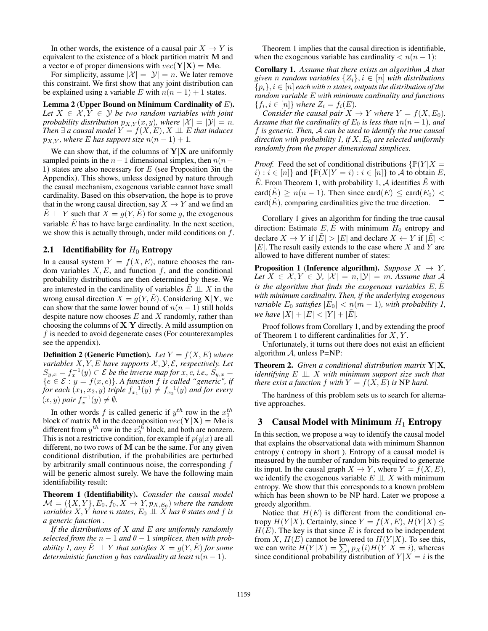In other words, the existence of a causal pair  $X \to Y$  is equivalent to the existence of a block partition matrix **M** and a vector **e** of proper dimensions with  $vec(\mathbf{Y}|\mathbf{X}) = \mathbf{M}\mathbf{e}$ .

For simplicity, assume  $|\mathcal{X}| = |\mathcal{Y}| = n$ . We later remove this constraint. We first show that any joint distribution can be explained using a variable E with  $n(n - 1) + 1$  states.

Lemma 2 (Upper Bound on Minimum Cardinality of E). Let  $X \in \mathcal{X}, Y \in \mathcal{Y}$  *be two random variables with joint probability distribution*  $p_{X,Y}(x, y)$ *, where*  $|X| = |Y| = n$ *. Then*  $\exists$  *a* causal model  $Y = f(X, E), X \perp\!\!\!\perp E$  *that induces*  $p_{X,Y}$ *, where* E has support size  $n(n-1) + 1$ .

We can show that, if the columns of  $Y|X$  are uniformly sampled points in the  $n-1$  dimensional simplex, then  $n(n-1)$ 1) states are also necessary for E (see Proposition 3in the Appendix). This shows, unless designed by nature through the causal mechanism, exogenous variable cannot have small cardinality. Based on this observation, the hope is to prove that in the wrong causal direction, say  $X \to Y$  and we find an  $\hat{E} \perp \!\!\! \perp Y$  such that  $X = g(Y, \hat{E})$  for some g, the exogenous variable  $\tilde{E}$  has to have large cardinality. In the next section, we show this is actually through, under mild conditions on  $f$ .

#### 2.1 Identifiability for  $H_0$  Entropy

In a causal system  $Y = f(X, E)$ , nature chooses the random variables  $X, E$ , and function f, and the conditional probability distributions are then determined by these. We are interested in the cardinality of variables  $\tilde{E} \perp X$  in the wrong causal direction  $X = g(Y, \tilde{E})$ . Considering **X|Y**, we can show that the same lower bound of  $n(n - 1)$  still holds despite nature now chooses  $E$  and  $X$  randomly, rather than choosing the columns of **X**|**Y** directly. A mild assumption on f is needed to avoid degenerate cases (For counterexamples see the appendix).

**Definition 2 (Generic Function).** *Let*  $Y = f(X, E)$  *where variables*  $X, Y, E$  *have supports*  $X, Y, E$ , *respectively. Let variables*  $X, Y, E$  *have supports*  $\mathcal{X}, \mathcal{Y}, \mathcal{E}$ , *respectively. Let*<br> $S_{\text{max}} = f^{-1}(y) \subset \mathcal{E}$  *be the inverse man for*  $x, e, i e, S_{\text{max}} =$  $S_{y,x} = f_x^{-1}(y) \subset \mathcal{E}$  *be the inverse map for* x, e, i.e.,  $S_{y,x} =$ <br> $\{e \in \mathcal{E} : y = f(x, e)\}$  A function f is called "generic" if  ${e \in \mathcal{E} : y = f(x, e)}$ . A function f is called "generic", if  $f$  *for each*  $(x_1, x_2, y)$  *triple*  $f^{-1}(y) \neq f^{-1}(y)$  *and for every for each*  $(x_1, x_2, y)$  *triple*  $f_{x_1}^{-1}(y) \neq f_{x_2}^{-1}(y)$  *and for every*  $(x, y)$  *pair*  $f^{-1}(y) \neq \emptyset$  $(x, y)$  *pair*  $f_x^{-1}(y) \neq \emptyset$ *.* 

In other words f is called generic if  $y^{th}$  row in the  $x_1^{th}$ <br>ock of matrix M in the decomposition  $vec(\mathbf{Y}|\mathbf{X}) = \mathbf{M} \mathbf{e}$  is block of matrix **M** in the decomposition  $vec(\mathbf{Y}|\mathbf{X}) = \mathbf{M}\mathbf{e}$  is different from  $y^{th}$  row in the  $x_2^{th}$  block, and both are nonzero.<br>This is not a restrictive condition for example if  $p(y|x)$  are all This is not a restrictive condition, for example if  $p(y|x)$  are all different, no two rows of **M** can be the same. For any given conditional distribution, if the probabilities are perturbed by arbitrarily small continuous noise, the corresponding f will be generic almost surely. We have the following main identifiability result:

Theorem 1 (Identifiability). *Consider the causal model*  $\mathcal{M} = (\{X, Y\}, E_0, f_0, X \rightarrow Y, p_{X, E_0})$  where the random *variables*  $X, Y$  *have n states,*  $E_0 \perp X$  *has*  $\theta$  *states and*  $f$  *is a generic function .*

*If the distributions of* X *and* E *are uniformly randomly selected from the*  $n - 1$  *and*  $\theta - 1$  *simplices, then with probability 1, any*  $\tilde{E} \perp V$  *that satisfies*  $X = g(Y, \tilde{E})$  *for some deterministic function g has cardinality at least*  $n(n-1)$ *.* 

Theorem 1 implies that the causal direction is identifiable, when the exogenous variable has cardinality  $\langle n(n-1)$ :

Corollary 1. *Assume that there exists an algorithm* A *that given n random variables*  $\{Z_i\}, i \in [n]$  *with distributions*  ${p_i}, i \in [n]$  *each with n states, outputs the distribution of the random variable* E *with minimum cardinality and functions*  ${f_i, i \in [n]}$  *where*  $Z_i = f_i(E)$ *.* 

*Consider the causal pair*  $X \to Y$  *where*  $Y = f(X, E_0)$ *. Assume that the cardinality of*  $E_0$  *is less than*  $n(n-1)$ *, and* f *is generic. Then,* <sup>A</sup> *can be used to identify the true causal direction with probability 1, if*  $X$ *,*  $E_0$  *are selected uniformly randomly from the proper dimensional simplices.*

*Proof.* Feed the set of conditional distributions  $\{P(Y | X =$  $i): i \in [n]$  and  $\{\mathbb{P}(X|Y = i): i \in [n]\}$  to A to obtain E,  $E$ . From Theorem 1, with probability 1, A identifies  $E$  with card( $\tilde{E}$ )  $\geq n(n-1)$ . Then since card( $E$ )  $\leq$  card( $E_0$ )  $\lt$ card(E), comparing cardinalities give the true direction.  $\square$ 

Corollary 1 gives an algorithm for finding the true causal direction: Estimate  $E, \tilde{E}$  with minimum  $H_0$  entropy and declare  $X \to Y$  if  $|\tilde{E}| > |E|$  and declare  $X \leftarrow Y$  if  $|\tilde{E}| <$  $|E|$ . The result easily extends to the case where X and Y are allowed to have different number of states:

**Proposition 1 (Inference algorithm).** *Suppose*  $X \rightarrow Y$ . Let  $X \in \mathcal{X}, Y \in \mathcal{Y}, |\mathcal{X}| = n, |\mathcal{Y}| = m$ . Assume that A *is the algorithm that finds the exogenous variables*  $E, \overline{E}$ *with minimum cardinality. Then, if the underlying exogenous variable*  $E_0$  *satisfies*  $|E_0| < n(m-1)$ *, with probability 1, we have*  $|X| + |E| < |Y| + |\tilde{E}|$ .

Proof follows from Corollary 1, and by extending the proof of Theorem 1 to different cardinalities for  $X, Y$ .

Unfortunately, it turns out there does not exist an efficient algorithm  $\mathcal{A}$ , unless P=NP:

Theorem 2. *Given a conditional distribution matrix* **Y**|**X***, identifying* E ⊥⊥ X *with minimum support size such that there exist a function*  $f$  *with*  $Y = f(X, E)$  *is* NP *hard.* 

The hardness of this problem sets us to search for alternative approaches.

## 3 Causal Model with Minimum  $H_1$  Entropy

In this section, we propose a way to identify the causal model that explains the observational data with minimum Shannon entropy ( entropy in short ). Entropy of a causal model is measured by the number of random bits required to generate its input. In the causal graph  $X \to Y$ , where  $Y = f(X, E)$ , we identify the exogenous variable  $E \perp X$  with minimum entropy. We show that this corresponds to a known problem which has been shown to be NP hard. Later we propose a greedy algorithm.

Notice that  $H(E)$  is different from the conditional entropy  $H(Y|X)$ . Certainly, since  $Y = f(X, E)$ ,  $H(Y|X) \le$  $H(E)$ . The key is that since E is forced to be independent from X,  $H(E)$  cannot be lowered to  $H(Y|X)$ . To see this, we can write  $H(Y|X) = \sum_i p_X(i)H(Y|X=i)$ , whereas since conditional probability distribution of  $Y|X=i$  is the since conditional probability distribution of  $Y|X = i$  is the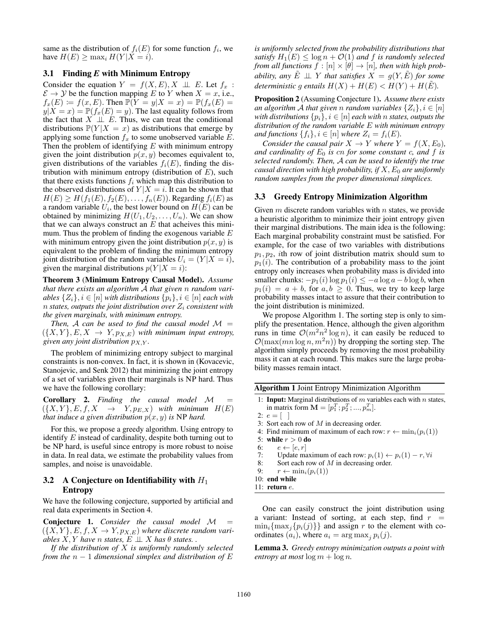same as the distribution of  $f_i(E)$  for some function  $f_i$ , we have  $H(E) \ge \max_i H(Y|X = i)$ .

# 3.1 Finding *E* with Minimum Entropy

Consider the equation  $Y = f(X, E), X \perp\!\!\!\perp E$ . Let  $f_x$ :  $\mathcal{E} \to \mathcal{Y}$  be the function mapping E to Y when  $X = x$ , i.e.,  $f_x(E) \coloneqq f(x, E)$ . Then  $\mathbb{P}(Y = y | X = x) = \mathbb{P}(f_x(E)) = x$  $y|X = x$  =  $\mathbb{P}(f_x(E) = y)$ . The last equality follows from the fact that  $X \perp\!\!\!\perp E$ . Thus, we can treat the conditional distributions  $\mathbb{P}(Y | X = x)$  as distributions that emerge by applying some function  $f_x$  to some unobserved variable  $E$ . Then the problem of identifying  $E$  with minimum entropy given the joint distribution  $p(x, y)$  becomes equivalent to, given distributions of the variables  $f_i(E)$ , finding the distribution with minimum entropy (distribution of  $E$ ), such that there exists functions  $f_i$  which map this distribution to the observed distributions of  $Y|X = i$ . It can be shown that  $H(E) \geq H(f_1(E), f_2(E), \ldots, f_n(E))$ . Regarding  $f_i(E)$  as a random variable  $U_i$ , the best lower bound on  $H(E)$  can be obtained by minimizing  $H(U_1, U_2, \ldots, U_n)$ . We can show that we can always construct an  $E$  that acheives this minimum. Thus the problem of finding the exogenous variable  $E$ with minimum entropy given the joint distribution  $p(x, y)$  is equivalent to the problem of finding the minimum entropy joint distribution of the random variables  $U_i = (Y | X = i)$ , given the marginal distributions  $p(Y|X = i)$ :

Theorem 3 (Minimum Entropy Causal Model). *Assume that there exists an algorithm* <sup>A</sup> *that given* n *random variables*  $\{Z_i\}, i \in [n]$  *with distributions*  $\{p_i\}, i \in [n]$  *each with*  $n$  *states, outputs the joint distribution over*  $Z_i$  *consistent with the given marginals, with minimum entropy.*

*Then,* A can be used to find the causal model  $M =$  $({X, Y}, E, X \rightarrow Y, p_{X,E})$  *with minimum input entropy, given any joint distribution*  $p_{X,Y}$ *.* 

The problem of minimizing entropy subject to marginal constraints is non-convex. In fact, it is shown in (Kovacevic, Stanojevic, and Senk 2012) that minimizing the joint entropy of a set of variables given their marginals is NP hard. Thus we have the following corollary:

Corollary 2. *Finding the causal model* <sup>M</sup> <sup>=</sup>  $(\{X, Y\}, E, f, X \rightarrow Y, p_{E,X})$  *with minimum*  $H(E)$ *that induce a given distribution*  $p(x, y)$  *is* NP *hard.* 

For this, we propose a greedy algorithm. Using entropy to identify  $E$  instead of cardinality, despite both turning out to be NP hard, is useful since entropy is more robust to noise in data. In real data, we estimate the probability values from samples, and noise is unavoidable.

## 3.2 A Conjecture on Identifiability with  $H_1$ Entropy

We have the following conjecture, supported by artificial and real data experiments in Section 4.

Conjecture 1. *Consider the causal model* <sup>M</sup> <sup>=</sup>  $(\{X,Y\},E,f,X\rightarrow Y,p_{X,E})$  where discrete random vari*ables*  $\overline{X}$ ,  $Y$  *have*  $n$  *states,*  $E \perp X$  *has*  $\theta$  *states.* 

*If the distribution of* X *is uniformly randomly selected from the* n <sup>−</sup> 1 *dimensional simplex and distribution of* E

*is uniformly selected from the probability distributions that satisfy*  $H_1(E) \leq \log n + \mathcal{O}(1)$  *and f is randomly selected from all functions*  $f : [n] \times [\theta] \rightarrow [n]$ *, then with high probability, any*  $\tilde{E} \perp \!\!\! \perp Y$  *that satisfies*  $X = g(Y, \tilde{E})$  *for some deterministic q entails*  $H(X) + H(E) < H(Y) + H(E)$ .

Proposition 2 (Assuming Conjecture 1). *Assume there exists an algorithm* A *that given n random variables*  $\{Z_i\}, i \in [n]$ *with distributions*  $\{p_i\}, i \in [n]$  *each with n states, outputs the distribution of the random variable* E *with minimum entropy and functions*  $\{f_i\}, i \in [n]$  *where*  $Z_i = f_i(E)$ *.* 

*Consider the causal pair*  $X \to Y$  *where*  $Y = f(X, E_0)$ *, and cardinality of*  $E_0$  *is cn for some constant c, and f is selected randomly. Then,* A *can be used to identify the true causal direction with high probability, if*  $X, E_0$  *are uniformly random samples from the proper dimensional simplices.*

## 3.3 Greedy Entropy Minimization Algorithm

Given  $m$  discrete random variables with  $n$  states, we provide a heuristic algorithm to minimize their joint entropy given their marginal distributions. The main idea is the following: Each marginal probability constraint must be satisfied. For example, for the case of two variables with distributions  $p_1, p_2$ , ith row of joint distribution matrix should sum to  $p_1(i)$ . The contribution of a probability mass to the joint entropy only increases when probability mass is divided into smaller chunks:  $-p_1(i) \log p_1(i) \leq -a \log a - b \log b$ , when  $p_1(i) = a + b$ , for  $a, b \ge 0$ . Thus, we try to keep large probability masses intact to assure that their contribution to the joint distribution is minimized.

We propose Algorithm 1. The sorting step is only to simplify the presentation. Hence, although the given algorithm runs in time  $\mathcal{O}(m^2n^2\log n)$ , it can easily be reduced to  $\mathcal{O}(\max(mn \log n, m^2n))$  by dropping the sorting step. The algorithm simply proceeds by removing the most probability mass it can at each round. This makes sure the large probability masses remain intact.

Algorithm 1 Joint Entropy Minimization Algorithm

1: Input: Marginal distributions of  $m$  variables each with  $n$  states, in matrix form  $\mathbf{M} = [p_1^T; p_2^T; ..., p_m^T]$ .

$$
2\colon\,e = [\quad]
$$

- 3: Sort each row of  $M$  in decreasing order.
- 4: Find minimum of maximum of each row:  $r \leftarrow \min_i(p_i(1))$
- 5: while  $r > 0$  do
- 6:  $e \leftarrow [e, r]$ <br>7: Update ma
- 7: Update maximum of each row:  $p_i(1) \leftarrow p_i(1) r, \forall i$ <br>8: Sort each row of M in decreasing order.
- Sort each row of  $M$  in decreasing order.
- 9:  $r \leftarrow \min_i(p_i(1))$

10: end while

11: return e.

One can easily construct the joint distribution using a variant: Instead of sorting, at each step, find  $r =$  $\min_i{\max_i{p_i(j)}\}$  and assign r to the element with coordinates  $(a_i)$ , where  $a_i = \arg \max_i p_i(j)$ .

Lemma 3. *Greedy entropy minimization outputs a point with entropy at most*  $\log m + \log n$ .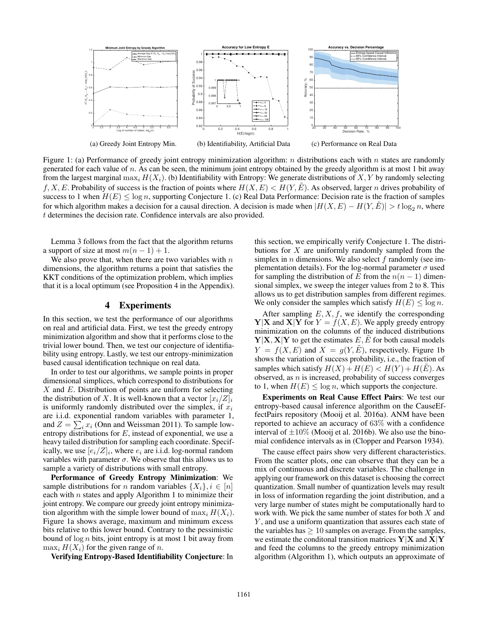

Figure 1: (a) Performance of greedy joint entropy minimization algorithm: n distributions each with n states are randomly generated for each value of n. As can be seen, the minimum joint entropy obtained by the greedy algorithm is at most 1 bit away from the largest marginal  $\max_i H(X_i)$ . (b) Identifiability with Entropy: We generate distributions of X, Y by randomly selecting f, X, E. Probability of success is the fraction of points where  $H(X, E) < H(Y, E)$ . As observed, larger n drives probability of success to 1 when  $H(E) \leq \log n$ , supporting Conjecture 1. (c) Real Data Performance: Decision rate is the fraction of samples for which algorithm makes a decision for a causal direction. A decision is made when  $|H(X, E) - H(Y, E)| > t \log_2 n$ , where t determines the decision rate. Confidence intervals are also provided.

Lemma 3 follows from the fact that the algorithm returns a support of size at most  $m(n - 1) + 1$ .

We also prove that, when there are two variables with  $n$ dimensions, the algorithm returns a point that satisfies the KKT conditions of the optimization problem, which implies that it is a local optimum (see Proposition 4 in the Appendix).

# 4 Experiments

In this section, we test the performance of our algorithms on real and artificial data. First, we test the greedy entropy minimization algorithm and show that it performs close to the trivial lower bound. Then, we test our conjecture of identifiability using entropy. Lastly, we test our entropy-minimization based causal identification technique on real data.

In order to test our algorithms, we sample points in proper dimensional simplices, which correspond to distributions for  $X$  and  $E$ . Distribution of points are uniform for selecting the distribution of X. It is well-known that a vector  $[x_i/Z]_i$ is uniformly randomly distributed over the simplex, if  $x_i$ are i.i.d. exponential random variables with parameter 1, and  $Z = \sum_i x_i$  (Onn and Weissman 2011). To sample low-<br>entrony distributions for E, instead of exponential we use a entropy distributions for  $E$ , instead of exponential, we use a heavy tailed distribution for sampling each coordinate. Specifically, we use  $[e_i/Z]_i$ , where  $e_i$  are i.i.d. log-normal random variables with parameter  $\sigma$ . We observe that this allows us to sample a variety of distributions with small entropy.

Performance of Greedy Entropy Minimization: We sample distributions for *n* random variables  $\{X_i\}, i \in [n]$ each with  $n$  states and apply Algorithm 1 to minimize their joint entropy. We compare our greedy joint entropy minimization algorithm with the simple lower bound of  $\max_i H(X_i)$ . Figure 1a shows average, maximum and minimum excess bits relative to this lower bound. Contrary to the pessimistic bound of  $log n$  bits, joint entropy is at most 1 bit away from  $\max_i H(X_i)$  for the given range of n.

Verifying Entropy-Based Identifiability Conjecture: In

this section, we empirically verify Conjecture 1. The distributions for  $X$  are uniformly randomly sampled from the simplex in  $n$  dimensions. We also select  $f$  randomly (see implementation details). For the log-normal parameter  $\sigma$  used for sampling the distribution of E from the  $n(n - 1)$  dimensional simplex, we sweep the integer values from 2 to 8. This allows us to get distribution samples from different regimes. We only consider the samples which satisfy  $H(E) \le \log n$ .

After sampling  $E, X, f$ , we identify the corresponding **Y**|**X** and **X**|**Y** for  $Y = f(X, E)$ . We apply greedy entropy minimization on the columns of the induced distributions  $Y|X, X|Y$  to get the estimates  $E, E$  for both causal models  $Y = f(X, E)$  and  $X = g(Y, \tilde{E})$ , respectively. Figure 1b shows the variation of success probability, i.e., the fraction of samples which satisfy  $H(X) + H(E) < H(Y) + H(E)$ . As observed, as  $n$  is increased, probability of success converges to 1, when  $H(E) \leq \log n$ , which supports the conjecture.

Experiments on Real Cause Effect Pairs: We test our entropy-based causal inference algorithm on the CauseEffectPairs repository (Mooij et al. 2016a). ANM have been reported to achieve an accuracy of 63% with a confidence interval of  $\pm 10\%$  (Mooij et al. 2016b). We also use the binomial confidence intervals as in (Clopper and Pearson 1934).

The cause effect pairs show very different characteristics. From the scatter plots, one can observe that they can be a mix of continuous and discrete variables. The challenge in applying our framework on this dataset is choosing the correct quantization. Small number of quantization levels may result in loss of information regarding the joint distribution, and a very large number of states might be computationally hard to work with. We pick the same number of states for both  $X$  and  $Y$ , and use a uniform quantization that assures each state of the variables has  $\geq 10$  samples on average. From the samples, we estimate the conditonal transition matrices **Y**|**X** and **X**|**Y** and feed the columns to the greedy entropy minimization algorithm (Algorithm 1), which outputs an approximate of